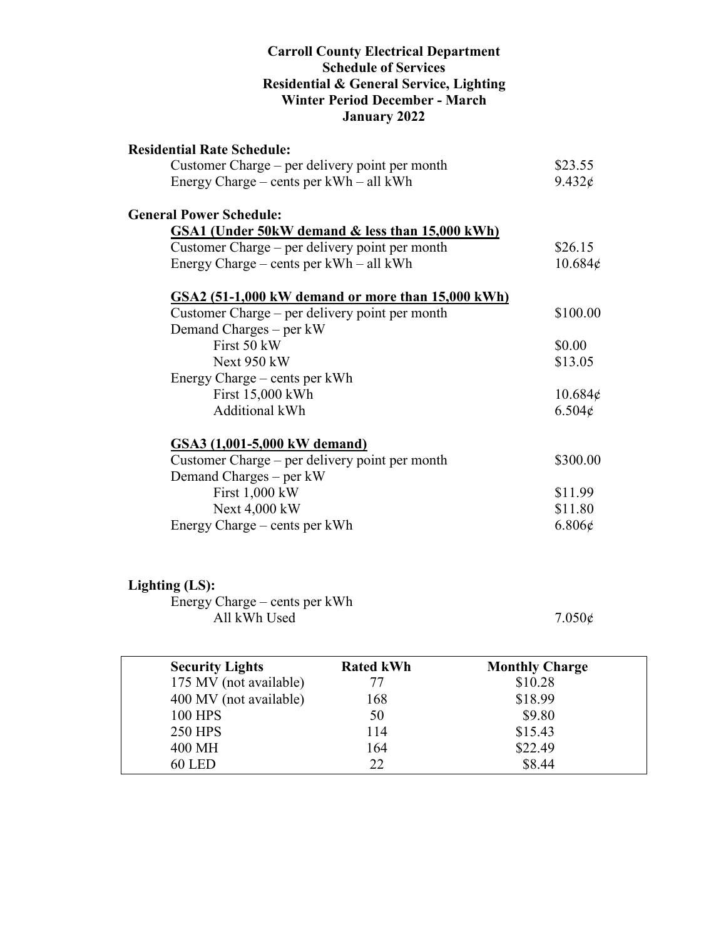#### **Carroll County Electrical Department Schedule of Services Residential & General Service, Lighting Winter Period December - March January 2022**

| <b>Residential Rate Schedule:</b>                 |                 |
|---------------------------------------------------|-----------------|
| Customer Charge – per delivery point per month    | \$23.55         |
| Energy Charge – cents per kWh – all kWh           | $9.432\epsilon$ |
| <b>General Power Schedule:</b>                    |                 |
| GSA1 (Under 50kW demand & less than 15,000 kWh)   |                 |
| Customer Charge – per delivery point per month    | \$26.15         |
| Energy Charge – cents per $kWh - all kWh$         | 10.684¢         |
| GSA2 (51-1,000 kW demand or more than 15,000 kWh) |                 |
| Customer Charge – per delivery point per month    | \$100.00        |
| Demand Charges – per kW                           |                 |
| First 50 kW                                       | \$0.00          |
| Next 950 kW                                       | \$13.05         |
| Energy Charge – cents per kWh                     |                 |
| First 15,000 kWh                                  | $10.684\phi$    |
| <b>Additional kWh</b>                             | $6.504\epsilon$ |
| GSA3 (1,001-5,000 kW demand)                      |                 |
| Customer Charge – per delivery point per month    | \$300.00        |
| Demand Charges – per kW                           |                 |
| First 1,000 kW                                    | \$11.99         |
| Next 4,000 kW                                     | \$11.80         |
| Energy Charge – cents per kWh                     | $6.806\epsilon$ |

## **Lighting (LS):**

Energy Charge – cents per kWh All kWh Used  $7.050\phi$ 

| <b>Security Lights</b> | <b>Rated kWh</b> | <b>Monthly Charge</b> |
|------------------------|------------------|-----------------------|
| 175 MV (not available) | 77               | \$10.28               |
| 400 MV (not available) | 168              | \$18.99               |
| <b>100 HPS</b>         | 50               | \$9.80                |
| <b>250 HPS</b>         | 114              | \$15.43               |
| 400 MH                 | 164              | \$22.49               |
| <b>60 LED</b>          | 22               | \$8.44                |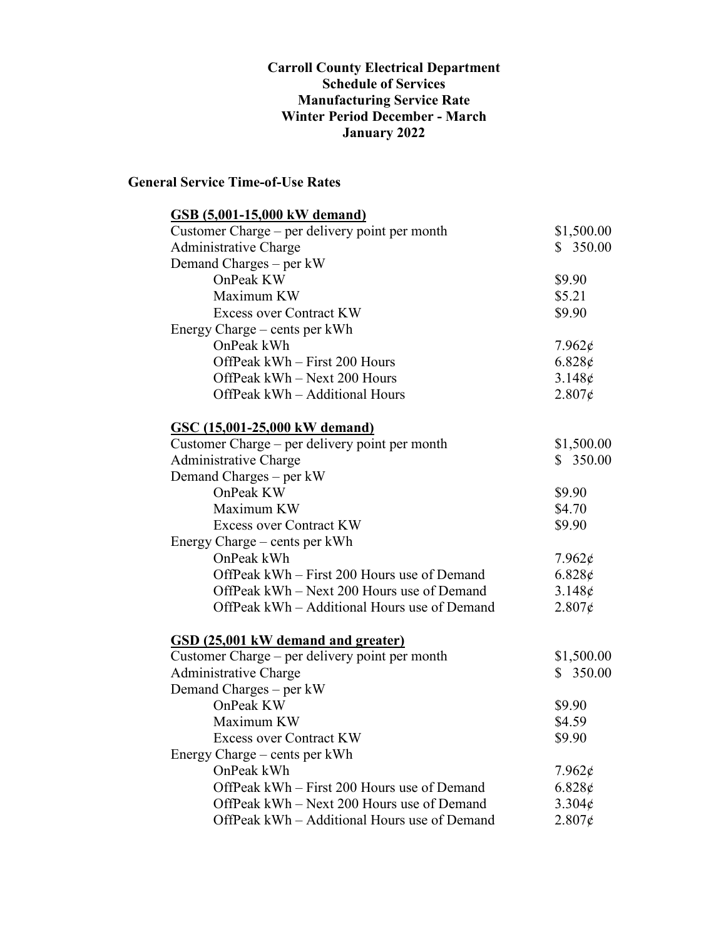#### **Carroll County Electrical Department Schedule of Services Manufacturing Service Rate Winter Period December - March January 2022**

### **General Service Time-of-Use Rates**

| <b>GSB</b> (5,001-15,000 kW demand)            |                 |
|------------------------------------------------|-----------------|
| Customer Charge – per delivery point per month | \$1,500.00      |
| Administrative Charge                          | \$350.00        |
| Demand Charges - per kW                        |                 |
| OnPeak KW                                      | \$9.90          |
| Maximum KW                                     | \$5.21          |
| <b>Excess over Contract KW</b>                 | \$9.90          |
| Energy Charge – cents per kWh                  |                 |
| OnPeak kWh                                     | $7.962\epsilon$ |
| OffPeak kWh - First 200 Hours                  | $6.828\epsilon$ |
| OffPeak kWh - Next 200 Hours                   | 3.148¢          |
| OffPeak kWh - Additional Hours                 | $2.807\epsilon$ |
| <b>GSC (15,001-25,000 kW demand)</b>           |                 |
| Customer Charge – per delivery point per month | \$1,500.00      |
| Administrative Charge                          | \$350.00        |
| Demand Charges – per kW                        |                 |
| OnPeak KW                                      | \$9.90          |
| Maximum KW                                     | \$4.70          |
| <b>Excess over Contract KW</b>                 | \$9.90          |
| Energy Charge – cents per kWh                  |                 |
| OnPeak kWh                                     | $7.962\epsilon$ |
| OffPeak kWh - First 200 Hours use of Demand    | $6.828\epsilon$ |
| OffPeak kWh - Next 200 Hours use of Demand     | $3.148\phi$     |
| OffPeak kWh – Additional Hours use of Demand   | $2.807\epsilon$ |
| <b>GSD</b> (25,001 kW demand and greater)      |                 |
| Customer Charge – per delivery point per month | \$1,500.00      |
| Administrative Charge                          | \$350.00        |
| Demand Charges - per kW                        |                 |
| OnPeak KW                                      | \$9.90          |
| Maximum KW                                     | \$4.59          |
| <b>Excess over Contract KW</b>                 | \$9.90          |
| Energy Charge – cents per kWh                  |                 |
| OnPeak kWh                                     | $7.962\epsilon$ |
| OffPeak kWh – First 200 Hours use of Demand    | $6.828\phi$     |
| OffPeak kWh – Next 200 Hours use of Demand     | $3.304\phi$     |
| OffPeak kWh – Additional Hours use of Demand   | $2.807\epsilon$ |